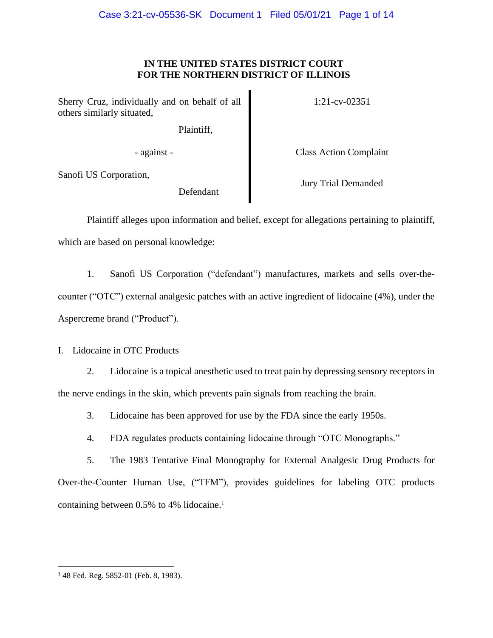# **IN THE UNITED STATES DISTRICT COURT FOR THE NORTHERN DISTRICT OF ILLINOIS**

Sherry Cruz, individually and on behalf of all others similarly situated,

Plaintiff,

1:21-cv-02351

- against - Class Action Complaint

Sanofi US Corporation,

Defendant

Jury Trial Demanded

Plaintiff alleges upon information and belief, except for allegations pertaining to plaintiff, which are based on personal knowledge:

1. Sanofi US Corporation ("defendant") manufactures, markets and sells over-thecounter ("OTC") external analgesic patches with an active ingredient of lidocaine (4%), under the Aspercreme brand ("Product").

I. Lidocaine in OTC Products

2. Lidocaine is a topical anesthetic used to treat pain by depressing sensory receptors in the nerve endings in the skin, which prevents pain signals from reaching the brain.

3. Lidocaine has been approved for use by the FDA since the early 1950s.

4. FDA regulates products containing lidocaine through "OTC Monographs."

5. The 1983 Tentative Final Monography for External Analgesic Drug Products for Over-the-Counter Human Use, ("TFM"), provides guidelines for labeling OTC products containing between 0.5% to 4% lidocaine.<sup>1</sup>

<sup>&</sup>lt;sup>1</sup> 48 Fed. Reg. 5852-01 (Feb. 8, 1983).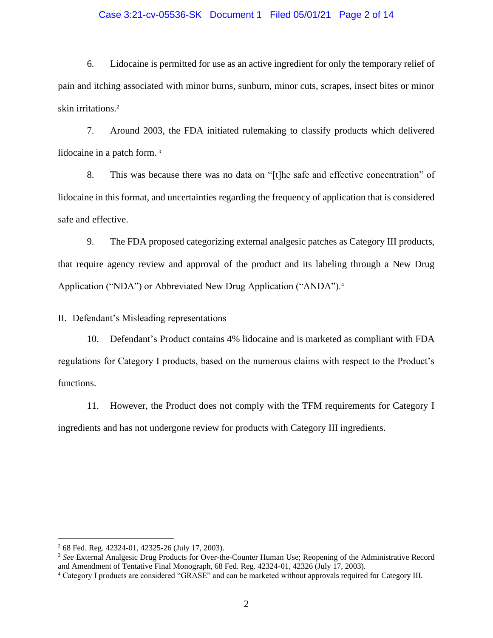### Case 3:21-cv-05536-SK Document 1 Filed 05/01/21 Page 2 of 14

6. Lidocaine is permitted for use as an active ingredient for only the temporary relief of pain and itching associated with minor burns, sunburn, minor cuts, scrapes, insect bites or minor skin irritations.<sup>2</sup>

7. Around 2003, the FDA initiated rulemaking to classify products which delivered lidocaine in a patch form.<sup>3</sup>

8. This was because there was no data on "[t]he safe and effective concentration" of lidocaine in this format, and uncertainties regarding the frequency of application that is considered safe and effective.

9. The FDA proposed categorizing external analgesic patches as Category III products, that require agency review and approval of the product and its labeling through a New Drug Application ("NDA") or Abbreviated New Drug Application ("ANDA").<sup>4</sup>

II. Defendant's Misleading representations

10. Defendant's Product contains 4% lidocaine and is marketed as compliant with FDA regulations for Category I products, based on the numerous claims with respect to the Product's functions.

11. However, the Product does not comply with the TFM requirements for Category I ingredients and has not undergone review for products with Category III ingredients.

<sup>2</sup> 68 Fed. Reg. 42324-01, 42325-26 (July 17, 2003).

<sup>&</sup>lt;sup>3</sup> See External Analgesic Drug Products for Over-the-Counter Human Use; Reopening of the Administrative Record and Amendment of Tentative Final Monograph, 68 Fed. Reg. 42324-01, 42326 (July 17, 2003).

<sup>4</sup> Category I products are considered "GRASE" and can be marketed without approvals required for Category III.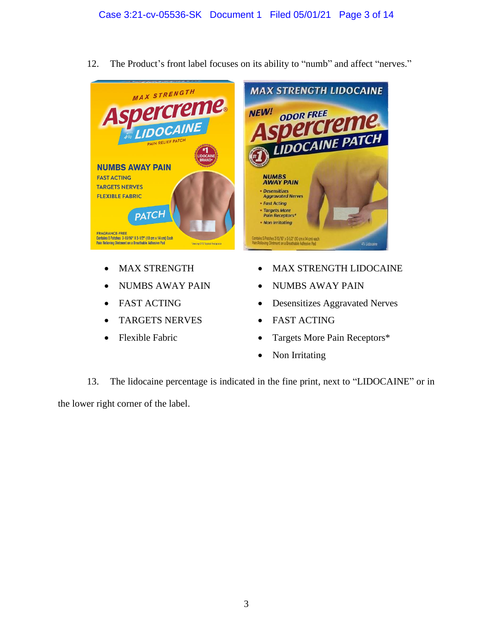

12. The Product's front label focuses on its ability to "numb" and affect "nerves."

- MAX STRENGTH
- NUMBS AWAY PAIN
- FAST ACTING
- TARGETS NERVES
- Flexible Fabric
- MAX STRENGTH LIDOCAINE
- NUMBS AWAY PAIN
- Desensitizes Aggravated Nerves
- FAST ACTING
- Targets More Pain Receptors\*
- Non Irritating

13. The lidocaine percentage is indicated in the fine print, next to "LIDOCAINE" or in the lower right corner of the label.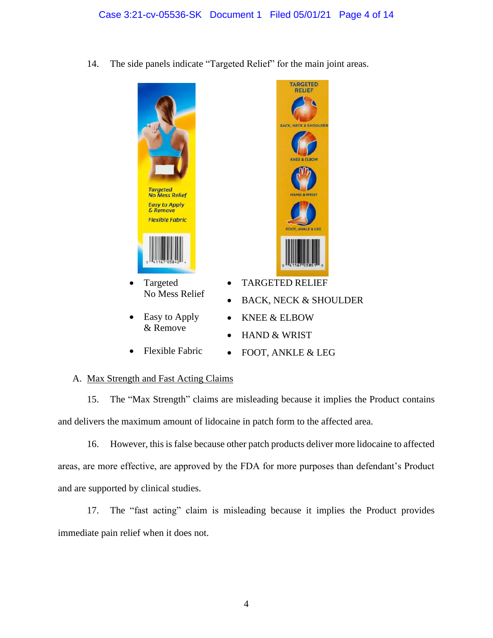14. The side panels indicate "Targeted Relief" for the main joint areas.



- Targeted No Mess Relief
- Easy to Apply & Remove
- Flexible Fabric



- TARGETED RELIEF
- BACK, NECK & SHOULDER
- KNEE & ELBOW
- HAND & WRIST
- FOOT, ANKLE & LEG

# A. Max Strength and Fast Acting Claims

15. The "Max Strength" claims are misleading because it implies the Product contains and delivers the maximum amount of lidocaine in patch form to the affected area.

16. However, this is false because other patch products deliver more lidocaine to affected areas, are more effective, are approved by the FDA for more purposes than defendant's Product and are supported by clinical studies.

17. The "fast acting" claim is misleading because it implies the Product provides immediate pain relief when it does not.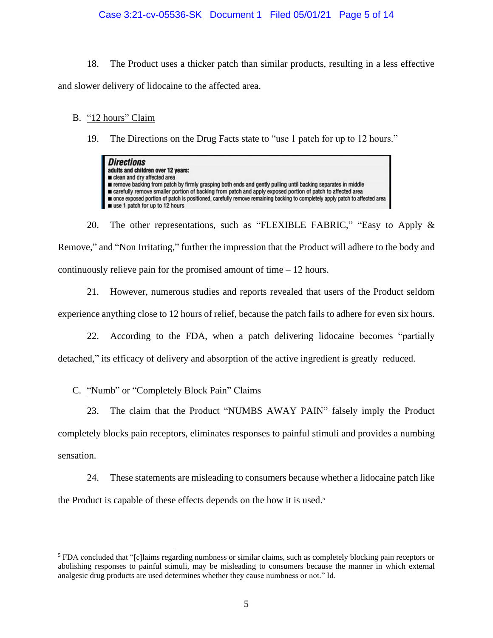### Case 3:21-cv-05536-SK Document 1 Filed 05/01/21 Page 5 of 14

18. The Product uses a thicker patch than similar products, resulting in a less effective and slower delivery of lidocaine to the affected area.

### B. "12 hours" Claim

19. The Directions on the Drug Facts state to "use 1 patch for up to 12 hours."

| <b>Directions</b><br>adults and children over 12 years:<br>clean and dry affected area<br>remove backing from patch by firmly grasping both ends and gently pulling until backing separates in middle<br>■ carefully remove smaller portion of backing from patch and apply exposed portion of patch to affected area<br>once exposed portion of patch is positioned, carefully remove remaining backing to completely apply patch to affected area<br>use 1 patch for up to 12 hours |
|---------------------------------------------------------------------------------------------------------------------------------------------------------------------------------------------------------------------------------------------------------------------------------------------------------------------------------------------------------------------------------------------------------------------------------------------------------------------------------------|
|---------------------------------------------------------------------------------------------------------------------------------------------------------------------------------------------------------------------------------------------------------------------------------------------------------------------------------------------------------------------------------------------------------------------------------------------------------------------------------------|

20. The other representations, such as "FLEXIBLE FABRIC," "Easy to Apply & Remove," and "Non Irritating," further the impression that the Product will adhere to the body and continuously relieve pain for the promised amount of time – 12 hours.

21. However, numerous studies and reports revealed that users of the Product seldom experience anything close to 12 hours of relief, because the patch fails to adhere for even six hours.

22. According to the FDA, when a patch delivering lidocaine becomes "partially detached," its efficacy of delivery and absorption of the active ingredient is greatly reduced.

## C. "Numb" or "Completely Block Pain" Claims

23. The claim that the Product "NUMBS AWAY PAIN" falsely imply the Product completely blocks pain receptors, eliminates responses to painful stimuli and provides a numbing sensation.

24. These statements are misleading to consumers because whether a lidocaine patch like the Product is capable of these effects depends on the how it is used.<sup>5</sup>

<sup>5</sup> FDA concluded that "[c]laims regarding numbness or similar claims, such as completely blocking pain receptors or abolishing responses to painful stimuli, may be misleading to consumers because the manner in which external analgesic drug products are used determines whether they cause numbness or not." Id.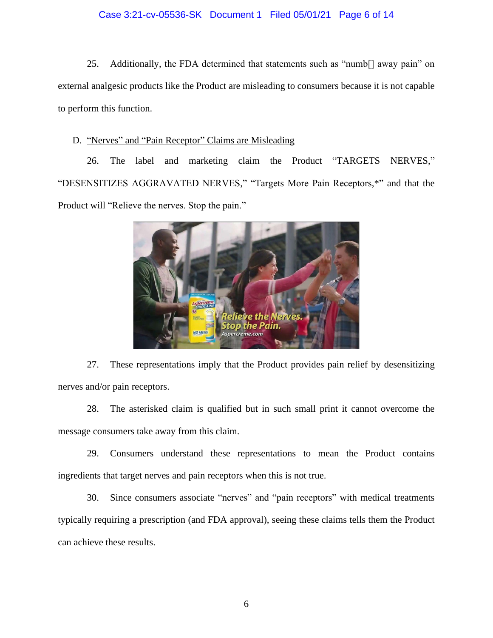### Case 3:21-cv-05536-SK Document 1 Filed 05/01/21 Page 6 of 14

25. Additionally, the FDA determined that statements such as "numb[] away pain" on external analgesic products like the Product are misleading to consumers because it is not capable to perform this function.

### D. "Nerves" and "Pain Receptor" Claims are Misleading

26. The label and marketing claim the Product "TARGETS NERVES," "DESENSITIZES AGGRAVATED NERVES," "Targets More Pain Receptors,\*" and that the Product will "Relieve the nerves. Stop the pain."



27. These representations imply that the Product provides pain relief by desensitizing nerves and/or pain receptors.

28. The asterisked claim is qualified but in such small print it cannot overcome the message consumers take away from this claim.

29. Consumers understand these representations to mean the Product contains ingredients that target nerves and pain receptors when this is not true.

30. Since consumers associate "nerves" and "pain receptors" with medical treatments typically requiring a prescription (and FDA approval), seeing these claims tells them the Product can achieve these results.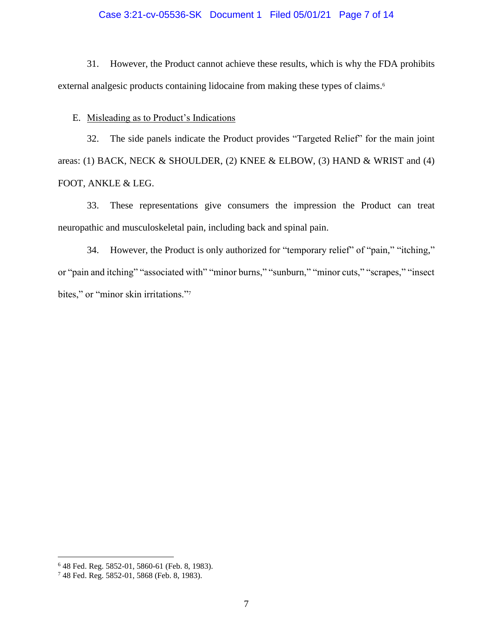### Case 3:21-cv-05536-SK Document 1 Filed 05/01/21 Page 7 of 14

31. However, the Product cannot achieve these results, which is why the FDA prohibits external analgesic products containing lidocaine from making these types of claims.<sup>6</sup>

E. Misleading as to Product's Indications

32. The side panels indicate the Product provides "Targeted Relief" for the main joint areas: (1) BACK, NECK & SHOULDER, (2) KNEE & ELBOW, (3) HAND & WRIST and (4) FOOT, ANKLE & LEG.

33. These representations give consumers the impression the Product can treat neuropathic and musculoskeletal pain, including back and spinal pain.

34. However, the Product is only authorized for "temporary relief" of "pain," "itching," or "pain and itching" "associated with" "minor burns," "sunburn," "minor cuts," "scrapes," "insect bites," or "minor skin irritations."7

<sup>6</sup> 48 Fed. Reg. 5852-01, 5860-61 (Feb. 8, 1983).

<sup>7</sup> 48 Fed. Reg. 5852-01, 5868 (Feb. 8, 1983).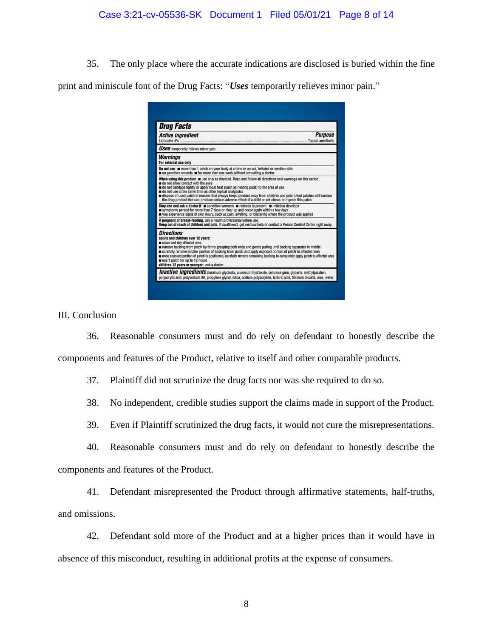35. The only place where the accurate indications are disclosed is buried within the fine

print and miniscule font of the Drug Facts: "*Uses* temporarily relieves minor pain."

| <b>Drug Facts</b><br><b>Active ingredient</b><br>Lidocaine 4%                                                                                                                                                                                                                                                                                                                                                                                                                                                                       | <b>Purpose</b> |
|-------------------------------------------------------------------------------------------------------------------------------------------------------------------------------------------------------------------------------------------------------------------------------------------------------------------------------------------------------------------------------------------------------------------------------------------------------------------------------------------------------------------------------------|----------------|
| <b>USES</b> temporarily relieves minor pain                                                                                                                                                                                                                                                                                                                                                                                                                                                                                         |                |
| <b>Warnings</b><br>For external use only                                                                                                                                                                                                                                                                                                                                                                                                                                                                                            |                |
| Do not use more than 1 patch on your body at a time or on cut, irritated or swollen skin<br>on puncture wounds <b>m</b> for more than one week without consulting a doctor                                                                                                                                                                                                                                                                                                                                                          |                |
| When using this product use only as directed. Read and follow all directions and warnings on this carton.<br>do not allow contact with the eyes<br>do not bandage tightly or apply local heat (such as heating pads) to the area of use<br>do not use at the same time as other topical analgesics<br>dispose of used patch in manner that always keeps product away from children and pets. Used patches still contain<br>the drug product that can produce serious adverse effects if a child or pet chews or ingests this patch. |                |
| Stop use and ask a doctor if $\blacksquare$ condition worsens $\blacksquare$ redness is present $\blacksquare$ irritation develops<br>symptoms persist for more than 7 days or clear up and occur again within a few days<br>you experience signs of skin injury, such as pain, swelling, or blistering where the product was applied                                                                                                                                                                                               |                |
| If pregnant or breast-feeding, ask a health professional before use.<br>Keep out of reach of children and pets. If swallowed, get medical help or contact a Poison Control Center right away.                                                                                                                                                                                                                                                                                                                                       |                |
| <b>Directions</b><br>adults and children over 12 years:<br>clean and dry affected area<br>remove backing from patch by firmly grasping both ends and gently pulling until backing separates in middle<br>carefully remove smaller portion of backing from patch and apply exposed portion of patch to affected area<br>once exposed portion of patch is positioned, carefully remove remaining backing to completely apply patch to affected area<br>use 1 patch for up to 12 hours<br>children 12 years or younger: ask a doctor   |                |
| Inactive ingredients aluminum glycinate, aluminum hydroxide, cellulose gum, glycerin, methylparaben,                                                                                                                                                                                                                                                                                                                                                                                                                                |                |

III. Conclusion

36. Reasonable consumers must and do rely on defendant to honestly describe the components and features of the Product, relative to itself and other comparable products.

37. Plaintiff did not scrutinize the drug facts nor was she required to do so.

38. No independent, credible studies support the claims made in support of the Product.

39. Even if Plaintiff scrutinized the drug facts, it would not cure the misrepresentations.

40. Reasonable consumers must and do rely on defendant to honestly describe the

components and features of the Product.

41. Defendant misrepresented the Product through affirmative statements, half-truths, and omissions.

42. Defendant sold more of the Product and at a higher prices than it would have in absence of this misconduct, resulting in additional profits at the expense of consumers.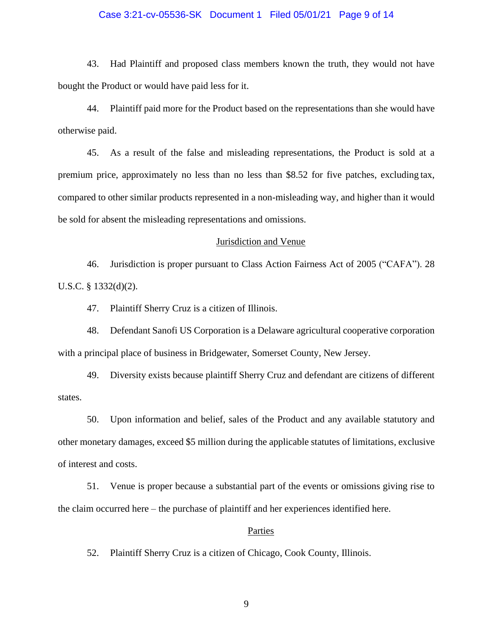### Case 3:21-cv-05536-SK Document 1 Filed 05/01/21 Page 9 of 14

43. Had Plaintiff and proposed class members known the truth, they would not have bought the Product or would have paid less for it.

44. Plaintiff paid more for the Product based on the representations than she would have otherwise paid.

45. As a result of the false and misleading representations, the Product is sold at a premium price, approximately no less than no less than \$8.52 for five patches, excluding tax, compared to other similar products represented in a non-misleading way, and higher than it would be sold for absent the misleading representations and omissions.

#### Jurisdiction and Venue

46. Jurisdiction is proper pursuant to Class Action Fairness Act of 2005 ("CAFA"). 28 U.S.C. § 1332(d)(2).

47. Plaintiff Sherry Cruz is a citizen of Illinois.

48. Defendant Sanofi US Corporation is a Delaware agricultural cooperative corporation with a principal place of business in Bridgewater, Somerset County, New Jersey.

49. Diversity exists because plaintiff Sherry Cruz and defendant are citizens of different states.

50. Upon information and belief, sales of the Product and any available statutory and other monetary damages, exceed \$5 million during the applicable statutes of limitations, exclusive of interest and costs.

51. Venue is proper because a substantial part of the events or omissions giving rise to the claim occurred here – the purchase of plaintiff and her experiences identified here.

### Parties

52. Plaintiff Sherry Cruz is a citizen of Chicago, Cook County, Illinois.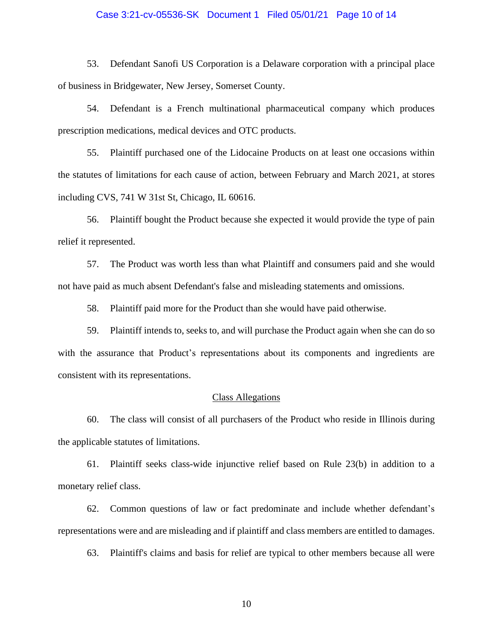#### Case 3:21-cv-05536-SK Document 1 Filed 05/01/21 Page 10 of 14

53. Defendant Sanofi US Corporation is a Delaware corporation with a principal place of business in Bridgewater, New Jersey, Somerset County.

54. Defendant is a French multinational pharmaceutical company which produces prescription medications, medical devices and OTC products.

55. Plaintiff purchased one of the Lidocaine Products on at least one occasions within the statutes of limitations for each cause of action, between February and March 2021, at stores including CVS, 741 W 31st St, Chicago, IL 60616.

56. Plaintiff bought the Product because she expected it would provide the type of pain relief it represented.

57. The Product was worth less than what Plaintiff and consumers paid and she would not have paid as much absent Defendant's false and misleading statements and omissions.

58. Plaintiff paid more for the Product than she would have paid otherwise.

59. Plaintiff intends to, seeks to, and will purchase the Product again when she can do so with the assurance that Product's representations about its components and ingredients are consistent with its representations.

## Class Allegations

60. The class will consist of all purchasers of the Product who reside in Illinois during the applicable statutes of limitations.

61. Plaintiff seeks class-wide injunctive relief based on Rule 23(b) in addition to a monetary relief class.

62. Common questions of law or fact predominate and include whether defendant's representations were and are misleading and if plaintiff and class members are entitled to damages.

63. Plaintiff's claims and basis for relief are typical to other members because all were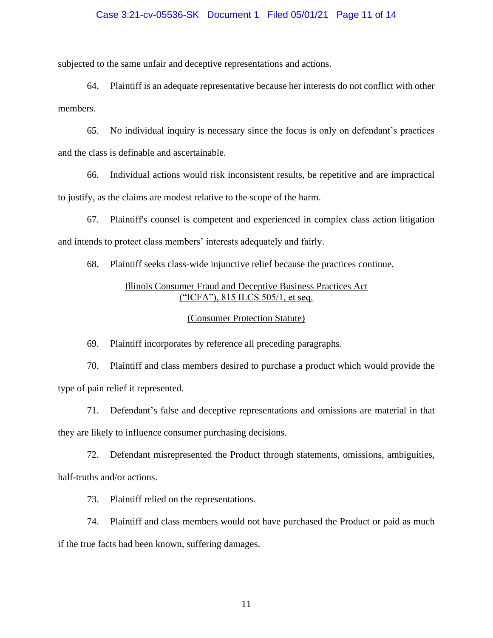#### Case 3:21-cv-05536-SK Document 1 Filed 05/01/21 Page 11 of 14

subjected to the same unfair and deceptive representations and actions.

64. Plaintiff is an adequate representative because her interests do not conflict with other members.

65. No individual inquiry is necessary since the focus is only on defendant's practices and the class is definable and ascertainable.

66. Individual actions would risk inconsistent results, be repetitive and are impractical to justify, as the claims are modest relative to the scope of the harm.

67. Plaintiff's counsel is competent and experienced in complex class action litigation and intends to protect class members' interests adequately and fairly.

68. Plaintiff seeks class-wide injunctive relief because the practices continue.

# Illinois Consumer Fraud and Deceptive Business Practices Act ("ICFA"), 815 ILCS 505/1, et seq.

### (Consumer Protection Statute)

69. Plaintiff incorporates by reference all preceding paragraphs.

70. Plaintiff and class members desired to purchase a product which would provide the type of pain relief it represented.

71. Defendant's false and deceptive representations and omissions are material in that they are likely to influence consumer purchasing decisions.

72. Defendant misrepresented the Product through statements, omissions, ambiguities, half-truths and/or actions.

73. Plaintiff relied on the representations.

74. Plaintiff and class members would not have purchased the Product or paid as much if the true facts had been known, suffering damages.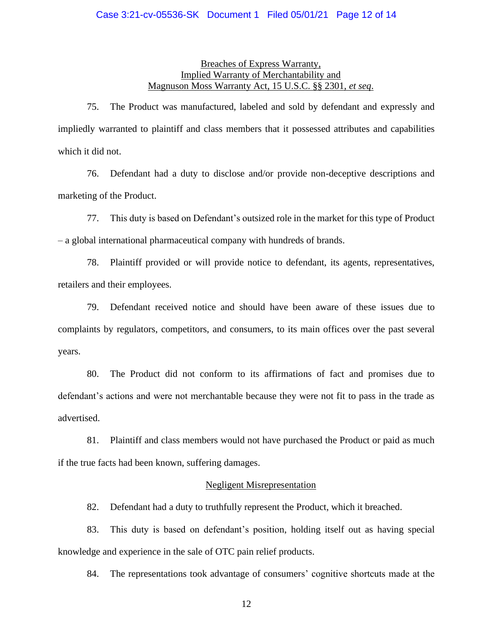### Case 3:21-cv-05536-SK Document 1 Filed 05/01/21 Page 12 of 14

## Breaches of Express Warranty, Implied Warranty of Merchantability and Magnuson Moss Warranty Act, 15 U.S.C. §§ 2301, *et seq*.

75. The Product was manufactured, labeled and sold by defendant and expressly and impliedly warranted to plaintiff and class members that it possessed attributes and capabilities which it did not.

76. Defendant had a duty to disclose and/or provide non-deceptive descriptions and marketing of the Product.

77. This duty is based on Defendant's outsized role in the market for this type of Product – a global international pharmaceutical company with hundreds of brands.

78. Plaintiff provided or will provide notice to defendant, its agents, representatives, retailers and their employees.

79. Defendant received notice and should have been aware of these issues due to complaints by regulators, competitors, and consumers, to its main offices over the past several years.

80. The Product did not conform to its affirmations of fact and promises due to defendant's actions and were not merchantable because they were not fit to pass in the trade as advertised.

81. Plaintiff and class members would not have purchased the Product or paid as much if the true facts had been known, suffering damages.

### Negligent Misrepresentation

82. Defendant had a duty to truthfully represent the Product, which it breached.

83. This duty is based on defendant's position, holding itself out as having special knowledge and experience in the sale of OTC pain relief products.

84. The representations took advantage of consumers' cognitive shortcuts made at the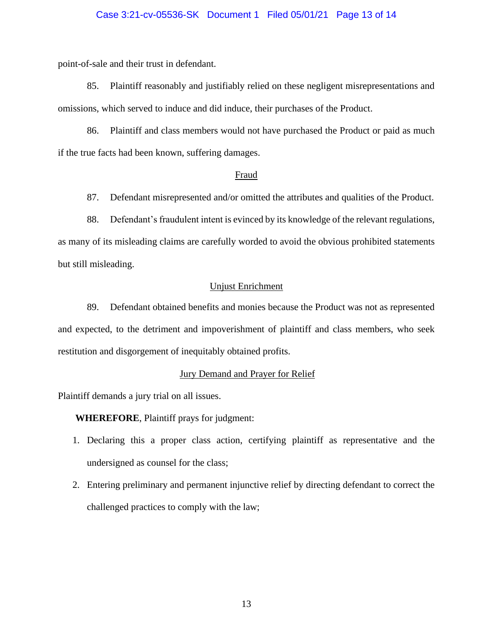#### Case 3:21-cv-05536-SK Document 1 Filed 05/01/21 Page 13 of 14

point-of-sale and their trust in defendant.

85. Plaintiff reasonably and justifiably relied on these negligent misrepresentations and omissions, which served to induce and did induce, their purchases of the Product.

86. Plaintiff and class members would not have purchased the Product or paid as much if the true facts had been known, suffering damages.

#### Fraud

87. Defendant misrepresented and/or omitted the attributes and qualities of the Product.

88. Defendant's fraudulent intent is evinced by its knowledge of the relevant regulations, as many of its misleading claims are carefully worded to avoid the obvious prohibited statements but still misleading.

### Unjust Enrichment

89. Defendant obtained benefits and monies because the Product was not as represented and expected, to the detriment and impoverishment of plaintiff and class members, who seek restitution and disgorgement of inequitably obtained profits.

### Jury Demand and Prayer for Relief

Plaintiff demands a jury trial on all issues.

## **WHEREFORE**, Plaintiff prays for judgment:

- 1. Declaring this a proper class action, certifying plaintiff as representative and the undersigned as counsel for the class;
- 2. Entering preliminary and permanent injunctive relief by directing defendant to correct the challenged practices to comply with the law;